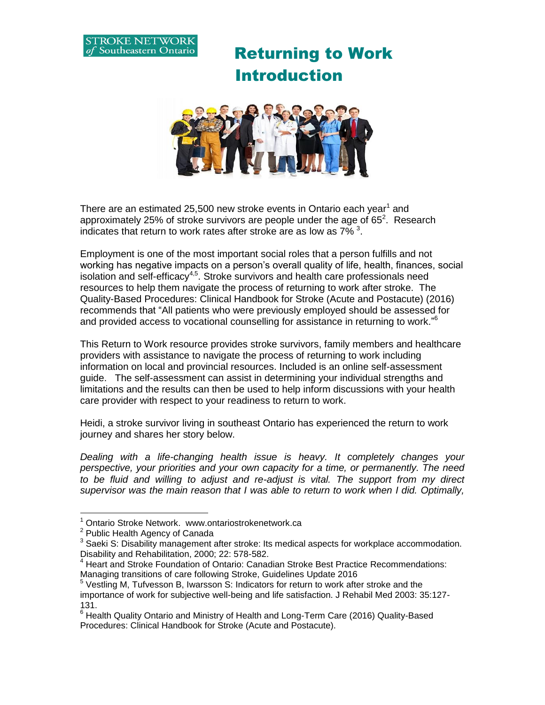

 Returning to Work Introduction



There are an estimated 25,500 new stroke events in Ontario each year<sup>1</sup> and approximately 25% of stroke survivors are people under the age of 65<sup>2</sup>. Research indicates that return to work rates after stroke are as low as 7%<sup>3</sup>.

Employment is one of the most important social roles that a person fulfills and not working has negative impacts on a person's overall quality of life, health, finances, social isolation and self-efficacy<sup>4,5</sup>. Stroke survivors and health care professionals need resources to help them navigate the process of returning to work after stroke. The Quality-Based Procedures: Clinical Handbook for Stroke (Acute and Postacute) (2016) recommends that "All patients who were previously employed should be assessed for and provided access to vocational counselling for assistance in returning to work."<sup>6</sup>

This Return to Work resource provides stroke survivors, family members and healthcare providers with assistance to navigate the process of returning to work including information on local and provincial resources. Included is an online self-assessment guide. The self-assessment can assist in determining your individual strengths and limitations and the results can then be used to help inform discussions with your health care provider with respect to your readiness to return to work.

Heidi, a stroke survivor living in southeast Ontario has experienced the return to work journey and shares her story below.

*Dealing with a life-changing health issue is heavy. It completely changes your perspective, your priorities and your own capacity for a time, or permanently. The need to be fluid and willing to adjust and re-adjust is vital. The support from my direct supervisor was the main reason that I was able to return to work when I did. Optimally,* 

 $\overline{a}$ 

<sup>&</sup>lt;sup>1</sup> Ontario Stroke Network. www.ontariostrokenetwork.ca

<sup>&</sup>lt;sup>2</sup> Public Health Agency of Canada

 $3$  Saeki S: Disability management after stroke: Its medical aspects for workplace accommodation. Disability and Rehabilitation, 2000; 22: 578-582.

<sup>&</sup>lt;sup>4</sup> Heart and Stroke Foundation of Ontario: Canadian Stroke Best Practice Recommendations: Managing transitions of care following Stroke, Guidelines Update 2016

 $5$  Vestling M, Tufvesson B, Iwarsson S: Indicators for return to work after stroke and the importance of work for subjective well-being and life satisfaction. J Rehabil Med 2003: 35:127- 131.

 $6$  Health Quality Ontario and Ministry of Health and Long-Term Care (2016) Quality-Based Procedures: Clinical Handbook for Stroke (Acute and Postacute).